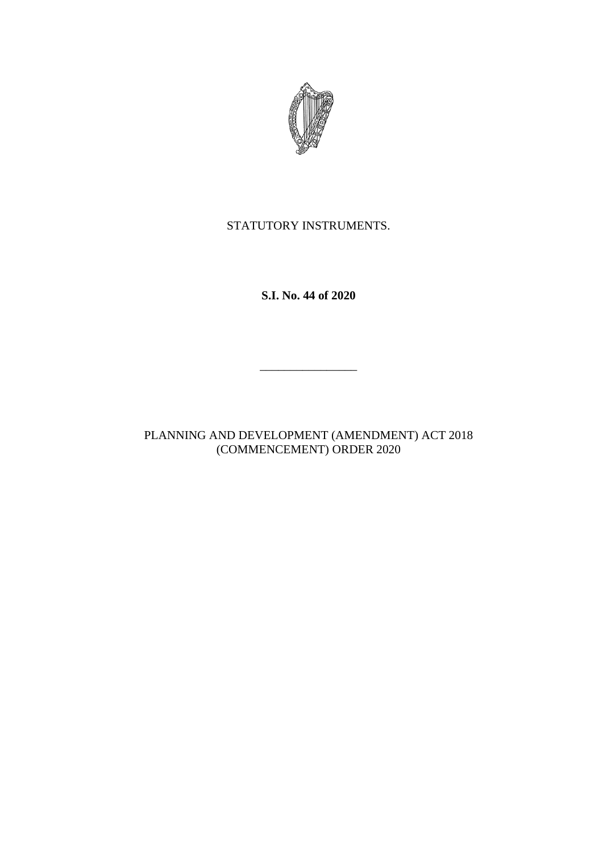

# STATUTORY INSTRUMENTS.

**S.I. No. 44 of 2020**

\_\_\_\_\_\_\_\_\_\_\_\_\_\_\_\_

PLANNING AND DEVELOPMENT (AMENDMENT) ACT 2018 (COMMENCEMENT) ORDER 2020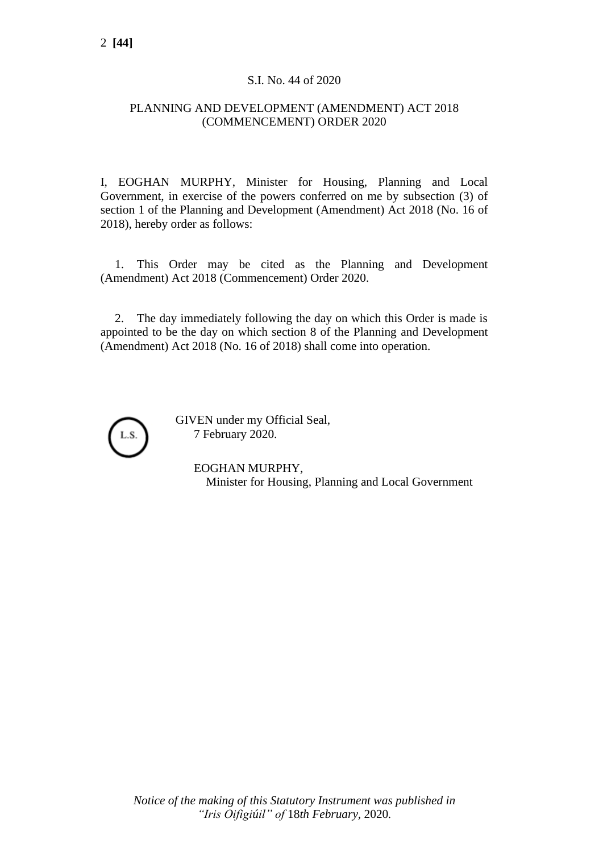## S.I. No. 44 of 2020

### PLANNING AND DEVELOPMENT (AMENDMENT) ACT 2018 (COMMENCEMENT) ORDER 2020

I, EOGHAN MURPHY, Minister for Housing, Planning and Local Government, in exercise of the powers conferred on me by subsection (3) of section 1 of the Planning and Development (Amendment) Act 2018 (No. 16 of 2018), hereby order as follows:

1. This Order may be cited as the Planning and Development (Amendment) Act 2018 (Commencement) Order 2020.

2. The day immediately following the day on which this Order is made is appointed to be the day on which section 8 of the Planning and Development (Amendment) Act 2018 (No. 16 of 2018) shall come into operation.



GIVEN under my Official Seal, 7 February 2020.

> EOGHAN MURPHY, Minister for Housing, Planning and Local Government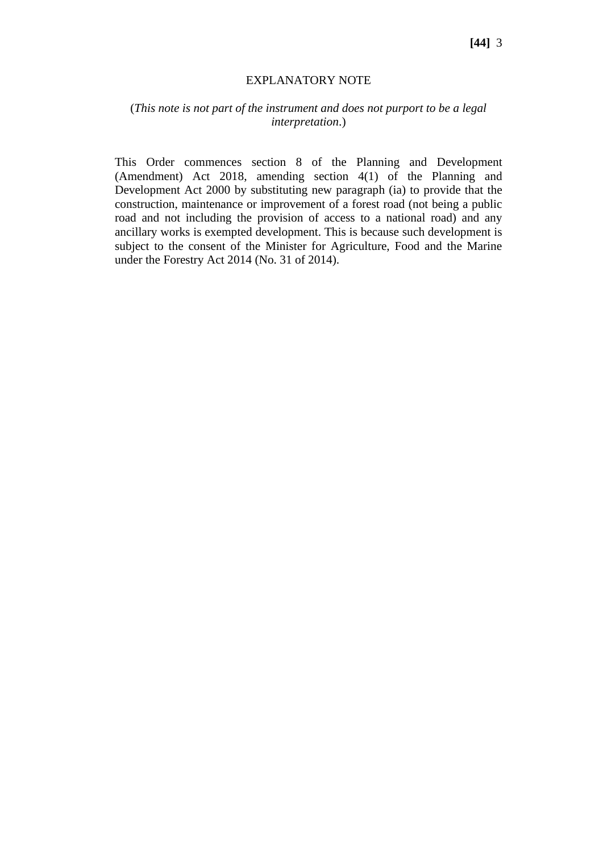#### EXPLANATORY NOTE

#### (*This note is not part of the instrument and does not purport to be a legal interpretation*.)

This Order commences section 8 of the Planning and Development (Amendment) Act 2018, amending section 4(1) of the Planning and Development Act 2000 by substituting new paragraph (ia) to provide that the construction, maintenance or improvement of a forest road (not being a public road and not including the provision of access to a national road) and any ancillary works is exempted development. This is because such development is subject to the consent of the Minister for Agriculture, Food and the Marine under the Forestry Act 2014 (No. 31 of 2014).